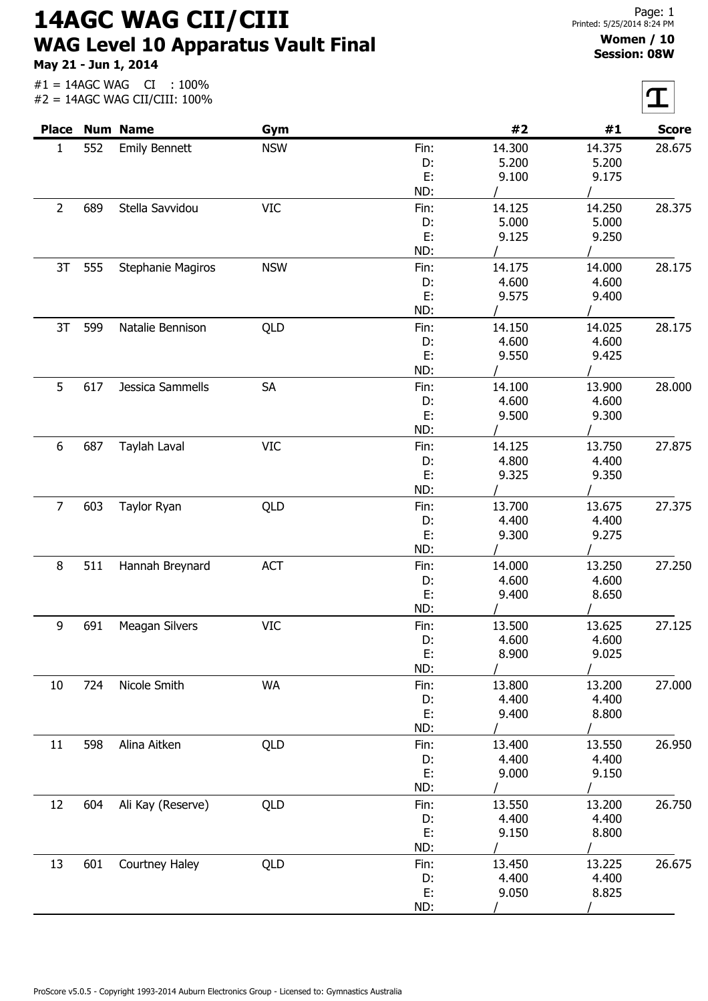14AGC WAG CII/CIII WAG Level 10 Apparatus Vault Final

May 21 - Jun 1, 2014

#1 = 14AGC WAG CI : 100%  $#2 = 14AGC WAGCIICIII: 100%$ 

## Women / 10 Session: 08W

|                |     | <b>Place Num Name</b> | Gym        |      | #2     | #1     | <b>Score</b> |
|----------------|-----|-----------------------|------------|------|--------|--------|--------------|
| $\mathbf{1}$   | 552 | <b>Emily Bennett</b>  | <b>NSW</b> | Fin: | 14.300 | 14.375 | 28.675       |
|                |     |                       |            | D:   | 5.200  | 5.200  |              |
|                |     |                       |            | E:   | 9.100  | 9.175  |              |
|                |     |                       |            | ND:  |        |        |              |
| $\overline{2}$ | 689 | Stella Savvidou       | <b>VIC</b> | Fin: | 14.125 | 14.250 | 28.375       |
|                |     |                       |            | D:   | 5.000  | 5.000  |              |
|                |     |                       |            | E:   | 9.125  | 9.250  |              |
|                |     |                       |            | ND:  |        |        |              |
| 3T             | 555 | Stephanie Magiros     | <b>NSW</b> | Fin: | 14.175 | 14.000 | 28.175       |
|                |     |                       |            | D:   | 4.600  | 4.600  |              |
|                |     |                       |            | E:   | 9.575  | 9.400  |              |
|                |     |                       |            | ND:  |        |        |              |
| 3T             | 599 | Natalie Bennison      | QLD        | Fin: | 14.150 | 14.025 | 28.175       |
|                |     |                       |            | D:   | 4.600  | 4.600  |              |
|                |     |                       |            | E:   | 9.550  | 9.425  |              |
|                |     |                       |            | ND:  |        |        |              |
| 5              | 617 | Jessica Sammells      | SA         | Fin: | 14.100 | 13.900 | 28.000       |
|                |     |                       |            | D:   | 4.600  | 4.600  |              |
|                |     |                       |            | E:   | 9.500  | 9.300  |              |
|                |     |                       |            | ND:  |        |        |              |
| 6              | 687 | Taylah Laval          | <b>VIC</b> | Fin: | 14.125 | 13.750 | 27.875       |
|                |     |                       |            | D:   | 4.800  | 4.400  |              |
|                |     |                       |            | E:   | 9.325  | 9.350  |              |
|                |     |                       |            | ND:  |        |        |              |
| $\overline{7}$ | 603 | Taylor Ryan           | QLD        | Fin: | 13.700 | 13.675 | 27.375       |
|                |     |                       |            | D:   | 4.400  | 4.400  |              |
|                |     |                       |            | E:   | 9.300  | 9.275  |              |
|                |     |                       |            | ND:  |        |        |              |
| 8              | 511 | Hannah Breynard       | ACT        | Fin: | 14.000 | 13.250 | 27.250       |
|                |     |                       |            | D:   | 4.600  | 4.600  |              |
|                |     |                       |            | E:   | 9.400  | 8.650  |              |
|                |     |                       |            | ND:  |        |        |              |
| 9              | 691 | Meagan Silvers        | <b>VIC</b> | Fin: | 13.500 | 13.625 | 27.125       |
|                |     |                       |            | D:   | 4.600  | 4.600  |              |
|                |     |                       |            | E:   | 8.900  | 9.025  |              |
|                |     |                       |            | ND:  |        |        |              |
| 10             | 724 | Nicole Smith          | <b>WA</b>  | Fin: | 13.800 | 13.200 | 27.000       |
|                |     |                       |            | D:   | 4.400  | 4.400  |              |
|                |     |                       |            | Ε.   | 9.400  | 8.800  |              |
|                |     |                       |            | ND:  |        |        |              |
| 11             | 598 | Alina Aitken          | QLD        | Fin: | 13.400 | 13.550 | 26.950       |
|                |     |                       |            | D:   | 4.400  | 4.400  |              |
|                |     |                       |            | E:   | 9.000  | 9.150  |              |
|                |     |                       |            | ND:  |        |        |              |
| 12             | 604 | Ali Kay (Reserve)     | QLD        | Fin: | 13.550 | 13.200 | 26.750       |
|                |     |                       |            | D:   | 4.400  | 4.400  |              |
|                |     |                       |            | E:   | 9.150  | 8.800  |              |
|                |     |                       |            | ND:  |        |        |              |
| 13             | 601 | Courtney Haley        | QLD        | Fin: | 13.450 | 13.225 | 26.675       |
|                |     |                       |            | D:   | 4.400  | 4.400  |              |
|                |     |                       |            | E:   | 9.050  | 8.825  |              |
|                |     |                       |            | ND:  |        |        |              |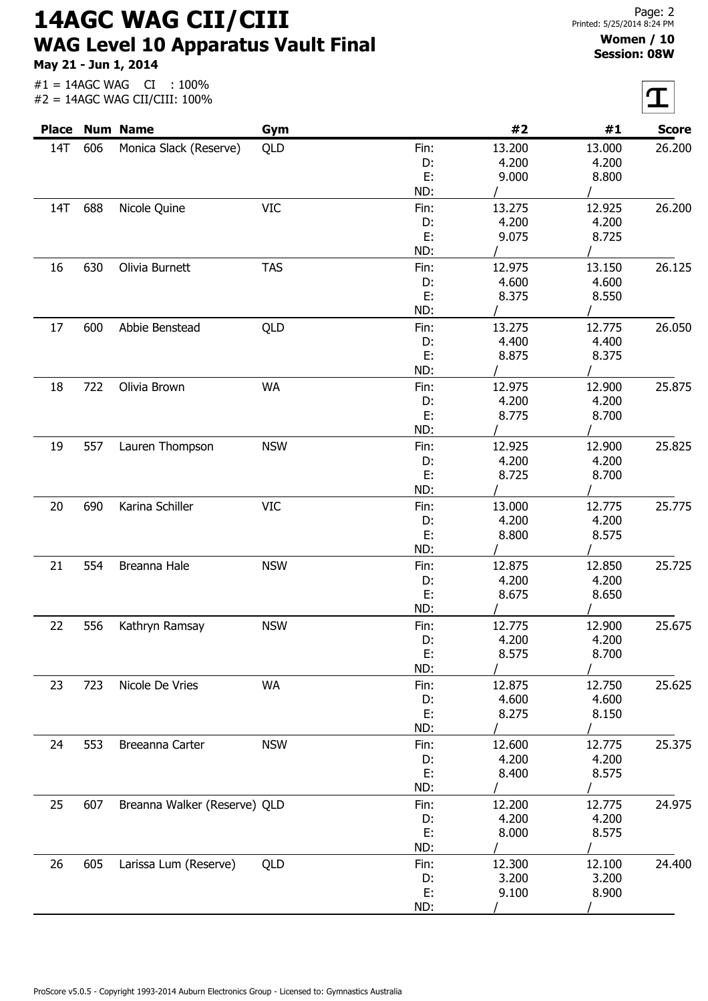14AGC WAG CII/CIII WAG Level 10 Apparatus Vault Final

May 21 - Jun 1, 2014

 $|\boldsymbol{\tau}|$ 

| #2<br><b>Place</b><br><b>Num Name</b><br>#1<br>Gym<br><b>14T</b><br>606<br>QLD<br>13.200<br>Monica Slack (Reserve)<br>13.000<br>Fin:<br>4.200<br>4.200<br>D:<br>E:<br>9.000<br>8.800<br>ND:<br>688<br>Nicole Quine<br><b>VIC</b><br>13.275<br>12.925<br>14T<br>Fin:<br>4.200<br>4.200<br>D:<br>E:<br>9.075<br>8.725<br>ND:<br>630<br>Olivia Burnett<br><b>TAS</b><br>16<br>12.975<br>13.150<br>Fin:<br>4.600<br>4.600<br>D:<br>E:<br>8.375<br>8.550<br>ND:<br>17<br>600<br>Abbie Benstead<br>QLD<br>13.275<br>12.775<br>Fin:<br>4.400<br>4.400<br>D:<br>E:<br>8.875<br>8.375<br>ND:<br>722<br>Olivia Brown<br><b>WA</b><br>12.975<br>12.900<br>18<br>Fin:<br>4.200<br>4.200<br>D:<br>E:<br>8.775<br>8.700<br>ND:<br>557<br><b>NSW</b><br>12.925<br>12.900<br>Lauren Thompson<br>19<br>Fin:<br>4.200<br>4.200<br>D:<br>E:<br>8.725<br>8.700<br>ND:<br>690<br>Karina Schiller<br><b>VIC</b><br>13.000<br>12.775<br>20<br>Fin:<br>4.200<br>D:<br>4.200<br>E:<br>8.800<br>8.575<br>ND:<br>554<br>Breanna Hale<br><b>NSW</b><br>12.875<br>12.850<br>21<br>Fin:<br>4.200<br>4.200<br>D:<br>E:<br>8.675<br>8.650<br>ND:<br>556<br><b>NSW</b><br>12.900<br>22<br>Kathryn Ramsay<br>Fin:<br>12.775<br>4.200<br>4.200<br>D:<br>E:<br>8.575<br>8.700<br>ND:<br>723<br><b>WA</b><br>12.875<br>12.750<br>23<br>Nicole De Vries<br>Fin: | <b>Score</b><br>26.200<br>26.200<br>26.125<br>26.050<br>25.875 |
|---------------------------------------------------------------------------------------------------------------------------------------------------------------------------------------------------------------------------------------------------------------------------------------------------------------------------------------------------------------------------------------------------------------------------------------------------------------------------------------------------------------------------------------------------------------------------------------------------------------------------------------------------------------------------------------------------------------------------------------------------------------------------------------------------------------------------------------------------------------------------------------------------------------------------------------------------------------------------------------------------------------------------------------------------------------------------------------------------------------------------------------------------------------------------------------------------------------------------------------------------------------------------------------------------------------------------|----------------------------------------------------------------|
|                                                                                                                                                                                                                                                                                                                                                                                                                                                                                                                                                                                                                                                                                                                                                                                                                                                                                                                                                                                                                                                                                                                                                                                                                                                                                                                           |                                                                |
|                                                                                                                                                                                                                                                                                                                                                                                                                                                                                                                                                                                                                                                                                                                                                                                                                                                                                                                                                                                                                                                                                                                                                                                                                                                                                                                           |                                                                |
|                                                                                                                                                                                                                                                                                                                                                                                                                                                                                                                                                                                                                                                                                                                                                                                                                                                                                                                                                                                                                                                                                                                                                                                                                                                                                                                           |                                                                |
|                                                                                                                                                                                                                                                                                                                                                                                                                                                                                                                                                                                                                                                                                                                                                                                                                                                                                                                                                                                                                                                                                                                                                                                                                                                                                                                           |                                                                |
|                                                                                                                                                                                                                                                                                                                                                                                                                                                                                                                                                                                                                                                                                                                                                                                                                                                                                                                                                                                                                                                                                                                                                                                                                                                                                                                           |                                                                |
|                                                                                                                                                                                                                                                                                                                                                                                                                                                                                                                                                                                                                                                                                                                                                                                                                                                                                                                                                                                                                                                                                                                                                                                                                                                                                                                           |                                                                |
|                                                                                                                                                                                                                                                                                                                                                                                                                                                                                                                                                                                                                                                                                                                                                                                                                                                                                                                                                                                                                                                                                                                                                                                                                                                                                                                           |                                                                |
|                                                                                                                                                                                                                                                                                                                                                                                                                                                                                                                                                                                                                                                                                                                                                                                                                                                                                                                                                                                                                                                                                                                                                                                                                                                                                                                           |                                                                |
|                                                                                                                                                                                                                                                                                                                                                                                                                                                                                                                                                                                                                                                                                                                                                                                                                                                                                                                                                                                                                                                                                                                                                                                                                                                                                                                           |                                                                |
|                                                                                                                                                                                                                                                                                                                                                                                                                                                                                                                                                                                                                                                                                                                                                                                                                                                                                                                                                                                                                                                                                                                                                                                                                                                                                                                           |                                                                |
|                                                                                                                                                                                                                                                                                                                                                                                                                                                                                                                                                                                                                                                                                                                                                                                                                                                                                                                                                                                                                                                                                                                                                                                                                                                                                                                           |                                                                |
|                                                                                                                                                                                                                                                                                                                                                                                                                                                                                                                                                                                                                                                                                                                                                                                                                                                                                                                                                                                                                                                                                                                                                                                                                                                                                                                           |                                                                |
|                                                                                                                                                                                                                                                                                                                                                                                                                                                                                                                                                                                                                                                                                                                                                                                                                                                                                                                                                                                                                                                                                                                                                                                                                                                                                                                           |                                                                |
|                                                                                                                                                                                                                                                                                                                                                                                                                                                                                                                                                                                                                                                                                                                                                                                                                                                                                                                                                                                                                                                                                                                                                                                                                                                                                                                           |                                                                |
|                                                                                                                                                                                                                                                                                                                                                                                                                                                                                                                                                                                                                                                                                                                                                                                                                                                                                                                                                                                                                                                                                                                                                                                                                                                                                                                           |                                                                |
|                                                                                                                                                                                                                                                                                                                                                                                                                                                                                                                                                                                                                                                                                                                                                                                                                                                                                                                                                                                                                                                                                                                                                                                                                                                                                                                           |                                                                |
|                                                                                                                                                                                                                                                                                                                                                                                                                                                                                                                                                                                                                                                                                                                                                                                                                                                                                                                                                                                                                                                                                                                                                                                                                                                                                                                           |                                                                |
|                                                                                                                                                                                                                                                                                                                                                                                                                                                                                                                                                                                                                                                                                                                                                                                                                                                                                                                                                                                                                                                                                                                                                                                                                                                                                                                           |                                                                |
|                                                                                                                                                                                                                                                                                                                                                                                                                                                                                                                                                                                                                                                                                                                                                                                                                                                                                                                                                                                                                                                                                                                                                                                                                                                                                                                           |                                                                |
|                                                                                                                                                                                                                                                                                                                                                                                                                                                                                                                                                                                                                                                                                                                                                                                                                                                                                                                                                                                                                                                                                                                                                                                                                                                                                                                           |                                                                |
|                                                                                                                                                                                                                                                                                                                                                                                                                                                                                                                                                                                                                                                                                                                                                                                                                                                                                                                                                                                                                                                                                                                                                                                                                                                                                                                           |                                                                |
|                                                                                                                                                                                                                                                                                                                                                                                                                                                                                                                                                                                                                                                                                                                                                                                                                                                                                                                                                                                                                                                                                                                                                                                                                                                                                                                           | 25.825                                                         |
|                                                                                                                                                                                                                                                                                                                                                                                                                                                                                                                                                                                                                                                                                                                                                                                                                                                                                                                                                                                                                                                                                                                                                                                                                                                                                                                           |                                                                |
|                                                                                                                                                                                                                                                                                                                                                                                                                                                                                                                                                                                                                                                                                                                                                                                                                                                                                                                                                                                                                                                                                                                                                                                                                                                                                                                           |                                                                |
|                                                                                                                                                                                                                                                                                                                                                                                                                                                                                                                                                                                                                                                                                                                                                                                                                                                                                                                                                                                                                                                                                                                                                                                                                                                                                                                           |                                                                |
|                                                                                                                                                                                                                                                                                                                                                                                                                                                                                                                                                                                                                                                                                                                                                                                                                                                                                                                                                                                                                                                                                                                                                                                                                                                                                                                           | 25.775                                                         |
|                                                                                                                                                                                                                                                                                                                                                                                                                                                                                                                                                                                                                                                                                                                                                                                                                                                                                                                                                                                                                                                                                                                                                                                                                                                                                                                           |                                                                |
|                                                                                                                                                                                                                                                                                                                                                                                                                                                                                                                                                                                                                                                                                                                                                                                                                                                                                                                                                                                                                                                                                                                                                                                                                                                                                                                           |                                                                |
|                                                                                                                                                                                                                                                                                                                                                                                                                                                                                                                                                                                                                                                                                                                                                                                                                                                                                                                                                                                                                                                                                                                                                                                                                                                                                                                           |                                                                |
|                                                                                                                                                                                                                                                                                                                                                                                                                                                                                                                                                                                                                                                                                                                                                                                                                                                                                                                                                                                                                                                                                                                                                                                                                                                                                                                           | 25.725                                                         |
|                                                                                                                                                                                                                                                                                                                                                                                                                                                                                                                                                                                                                                                                                                                                                                                                                                                                                                                                                                                                                                                                                                                                                                                                                                                                                                                           |                                                                |
|                                                                                                                                                                                                                                                                                                                                                                                                                                                                                                                                                                                                                                                                                                                                                                                                                                                                                                                                                                                                                                                                                                                                                                                                                                                                                                                           |                                                                |
|                                                                                                                                                                                                                                                                                                                                                                                                                                                                                                                                                                                                                                                                                                                                                                                                                                                                                                                                                                                                                                                                                                                                                                                                                                                                                                                           |                                                                |
|                                                                                                                                                                                                                                                                                                                                                                                                                                                                                                                                                                                                                                                                                                                                                                                                                                                                                                                                                                                                                                                                                                                                                                                                                                                                                                                           |                                                                |
|                                                                                                                                                                                                                                                                                                                                                                                                                                                                                                                                                                                                                                                                                                                                                                                                                                                                                                                                                                                                                                                                                                                                                                                                                                                                                                                           | 25.675                                                         |
|                                                                                                                                                                                                                                                                                                                                                                                                                                                                                                                                                                                                                                                                                                                                                                                                                                                                                                                                                                                                                                                                                                                                                                                                                                                                                                                           |                                                                |
|                                                                                                                                                                                                                                                                                                                                                                                                                                                                                                                                                                                                                                                                                                                                                                                                                                                                                                                                                                                                                                                                                                                                                                                                                                                                                                                           |                                                                |
|                                                                                                                                                                                                                                                                                                                                                                                                                                                                                                                                                                                                                                                                                                                                                                                                                                                                                                                                                                                                                                                                                                                                                                                                                                                                                                                           |                                                                |
|                                                                                                                                                                                                                                                                                                                                                                                                                                                                                                                                                                                                                                                                                                                                                                                                                                                                                                                                                                                                                                                                                                                                                                                                                                                                                                                           | 25.625                                                         |
| 4.600<br>4.600<br>D:                                                                                                                                                                                                                                                                                                                                                                                                                                                                                                                                                                                                                                                                                                                                                                                                                                                                                                                                                                                                                                                                                                                                                                                                                                                                                                      |                                                                |
| E:<br>8.275<br>8.150                                                                                                                                                                                                                                                                                                                                                                                                                                                                                                                                                                                                                                                                                                                                                                                                                                                                                                                                                                                                                                                                                                                                                                                                                                                                                                      |                                                                |
| ND:                                                                                                                                                                                                                                                                                                                                                                                                                                                                                                                                                                                                                                                                                                                                                                                                                                                                                                                                                                                                                                                                                                                                                                                                                                                                                                                       |                                                                |
| <b>NSW</b><br>553<br>Breeanna Carter<br>12.600<br>12.775<br>24<br>Fin:                                                                                                                                                                                                                                                                                                                                                                                                                                                                                                                                                                                                                                                                                                                                                                                                                                                                                                                                                                                                                                                                                                                                                                                                                                                    | 25.375                                                         |
| 4.200<br>4.200<br>D:                                                                                                                                                                                                                                                                                                                                                                                                                                                                                                                                                                                                                                                                                                                                                                                                                                                                                                                                                                                                                                                                                                                                                                                                                                                                                                      |                                                                |
| E:<br>8.400<br>8.575                                                                                                                                                                                                                                                                                                                                                                                                                                                                                                                                                                                                                                                                                                                                                                                                                                                                                                                                                                                                                                                                                                                                                                                                                                                                                                      |                                                                |
| ND:                                                                                                                                                                                                                                                                                                                                                                                                                                                                                                                                                                                                                                                                                                                                                                                                                                                                                                                                                                                                                                                                                                                                                                                                                                                                                                                       |                                                                |
| 25<br>607<br>Breanna Walker (Reserve) QLD<br>12.200<br>Fin:<br>12.775                                                                                                                                                                                                                                                                                                                                                                                                                                                                                                                                                                                                                                                                                                                                                                                                                                                                                                                                                                                                                                                                                                                                                                                                                                                     | 24.975                                                         |
| 4.200<br>4.200<br>D:                                                                                                                                                                                                                                                                                                                                                                                                                                                                                                                                                                                                                                                                                                                                                                                                                                                                                                                                                                                                                                                                                                                                                                                                                                                                                                      |                                                                |
| E:<br>8.000<br>8.575                                                                                                                                                                                                                                                                                                                                                                                                                                                                                                                                                                                                                                                                                                                                                                                                                                                                                                                                                                                                                                                                                                                                                                                                                                                                                                      |                                                                |
| ND:                                                                                                                                                                                                                                                                                                                                                                                                                                                                                                                                                                                                                                                                                                                                                                                                                                                                                                                                                                                                                                                                                                                                                                                                                                                                                                                       |                                                                |
| QLD<br>12.300<br>12.100<br>26<br>605<br>Larissa Lum (Reserve)<br>Fin:                                                                                                                                                                                                                                                                                                                                                                                                                                                                                                                                                                                                                                                                                                                                                                                                                                                                                                                                                                                                                                                                                                                                                                                                                                                     | 24.400                                                         |
| 3.200<br>3.200<br>D:                                                                                                                                                                                                                                                                                                                                                                                                                                                                                                                                                                                                                                                                                                                                                                                                                                                                                                                                                                                                                                                                                                                                                                                                                                                                                                      |                                                                |
| E:<br>9.100<br>8.900                                                                                                                                                                                                                                                                                                                                                                                                                                                                                                                                                                                                                                                                                                                                                                                                                                                                                                                                                                                                                                                                                                                                                                                                                                                                                                      |                                                                |
| ND:                                                                                                                                                                                                                                                                                                                                                                                                                                                                                                                                                                                                                                                                                                                                                                                                                                                                                                                                                                                                                                                                                                                                                                                                                                                                                                                       |                                                                |